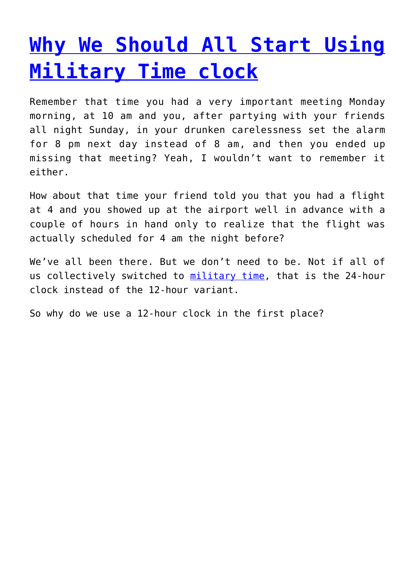## **[Why We Should All Start Using](http://militarytimeconversion.com/why-we-should-all-start-using-military-time/) [Military Time clock](http://militarytimeconversion.com/why-we-should-all-start-using-military-time/)**

Remember that time you had a very important meeting Monday morning, at 10 am and you, after partying with your friends all night Sunday, in your drunken carelessness set the alarm for 8 pm next day instead of 8 am, and then you ended up missing that meeting? Yeah, I wouldn't want to remember it either.

How about that time your friend told you that you had a flight at 4 and you showed up at the airport well in advance with a couple of hours in hand only to realize that the flight was actually scheduled for 4 am the night before?

We've all been there. But we don't need to be. Not if all of us collectively switched to [military time,](http://militarytimeconversion.com) that is the 24-hour clock instead of the 12-hour variant.

So why do we use a 12-hour clock in the first place?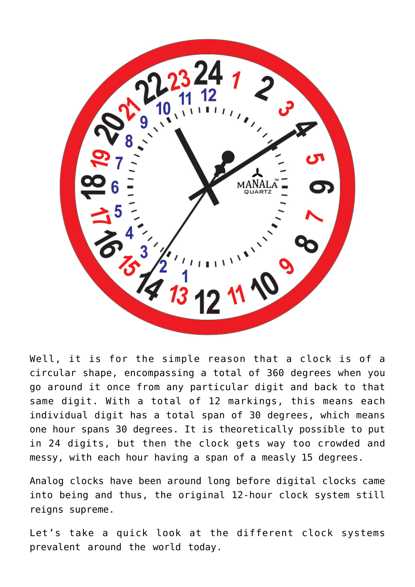

Well, it is for the simple reason that a clock is of a circular shape, encompassing a total of 360 degrees when you go around it once from any particular digit and back to that same digit. With a total of 12 markings, this means each individual digit has a total span of 30 degrees, which means one hour spans 30 degrees. It is theoretically possible to put in 24 digits, but then the clock gets way too crowded and messy, with each hour having a span of a measly 15 degrees.

Analog clocks have been around long before digital clocks came into being and thus, the original 12-hour clock system still reigns supreme.

Let's take a quick look at the different clock systems prevalent around the world today.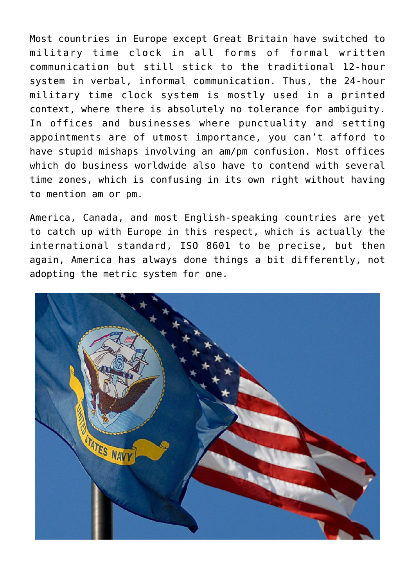Most countries in Europe except Great Britain have switched to military time clock in all forms of formal written communication but still stick to the traditional 12-hour system in verbal, informal communication. Thus, the 24-hour military time clock system is mostly used in a printed context, where there is absolutely no tolerance for ambiguity. In offices and businesses where punctuality and setting appointments are of utmost importance, you can't afford to have stupid mishaps involving an am/pm confusion. Most offices which do business worldwide also have to contend with several time zones, which is confusing in its own right without having to mention am or pm.

America, Canada, and most English-speaking countries are yet to catch up with Europe in this respect, which is actually the international standard, ISO 8601 to be precise, but then again, America has always done things a bit differently, not adopting the metric system for one.

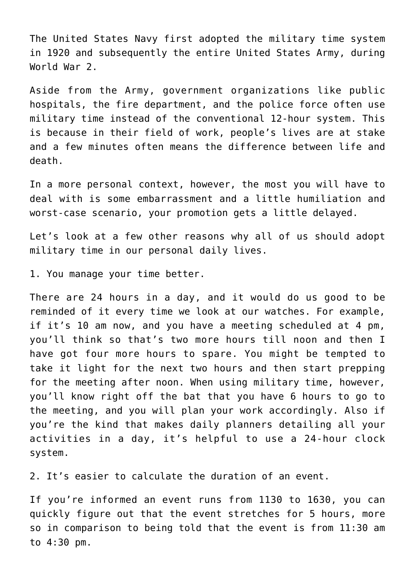The United States Navy first adopted the military time system in 1920 and subsequently the entire United States Army, during World War 2.

Aside from the Army, government organizations like public hospitals, the fire department, and the police force often use military time instead of the conventional 12-hour system. This is because in their field of work, people's lives are at stake and a few minutes often means the difference between life and death.

In a more personal context, however, the most you will have to deal with is some embarrassment and a little humiliation and worst-case scenario, your promotion gets a little delayed.

Let's look at a few other reasons why all of us should adopt military time in our personal daily lives.

1. You manage your time better.

There are 24 hours in a day, and it would do us good to be reminded of it every time we look at our watches. For example, if it's 10 am now, and you have a meeting scheduled at 4 pm, you'll think so that's two more hours till noon and then I have got four more hours to spare. You might be tempted to take it light for the next two hours and then start prepping for the meeting after noon. When using military time, however, you'll know right off the bat that you have 6 hours to go to the meeting, and you will plan your work accordingly. Also if you're the kind that makes daily planners detailing all your activities in a day, it's helpful to use a 24-hour clock system.

2. It's easier to calculate the duration of an event.

If you're informed an event runs from 1130 to 1630, you can quickly figure out that the event stretches for 5 hours, more so in comparison to being told that the event is from 11:30 am to 4:30 pm.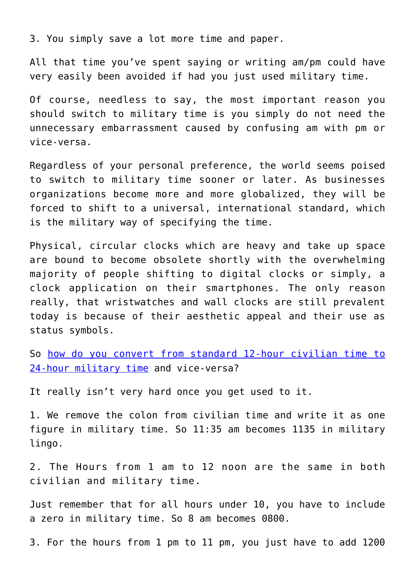3. You simply save a lot more time and paper.

All that time you've spent saying or writing am/pm could have very easily been avoided if had you just used military time.

Of course, needless to say, the most important reason you should switch to military time is you simply do not need the unnecessary embarrassment caused by confusing am with pm or vice-versa.

Regardless of your personal preference, the world seems poised to switch to military time sooner or later. As businesses organizations become more and more globalized, they will be forced to shift to a universal, international standard, which is the military way of specifying the time.

Physical, circular clocks which are heavy and take up space are bound to become obsolete shortly with the overwhelming majority of people shifting to digital clocks or simply, a clock application on their smartphones. The only reason really, that wristwatches and wall clocks are still prevalent today is because of their aesthetic appeal and their use as status symbols.

So [how do you convert from standard 12-hour civilian time to](http://militarytimeconversion.com/importance-of-using-the-24-hour-clock-and-how-to-convert-military-time-to-standard-time/) [24-hour military time](http://militarytimeconversion.com/importance-of-using-the-24-hour-clock-and-how-to-convert-military-time-to-standard-time/) and vice-versa?

It really isn't very hard once you get used to it.

1. We remove the colon from civilian time and write it as one figure in military time. So 11:35 am becomes 1135 in military lingo.

2. The Hours from 1 am to 12 noon are the same in both civilian and military time.

Just remember that for all hours under 10, you have to include a zero in military time. So 8 am becomes 0800.

3. For the hours from 1 pm to 11 pm, you just have to add 1200